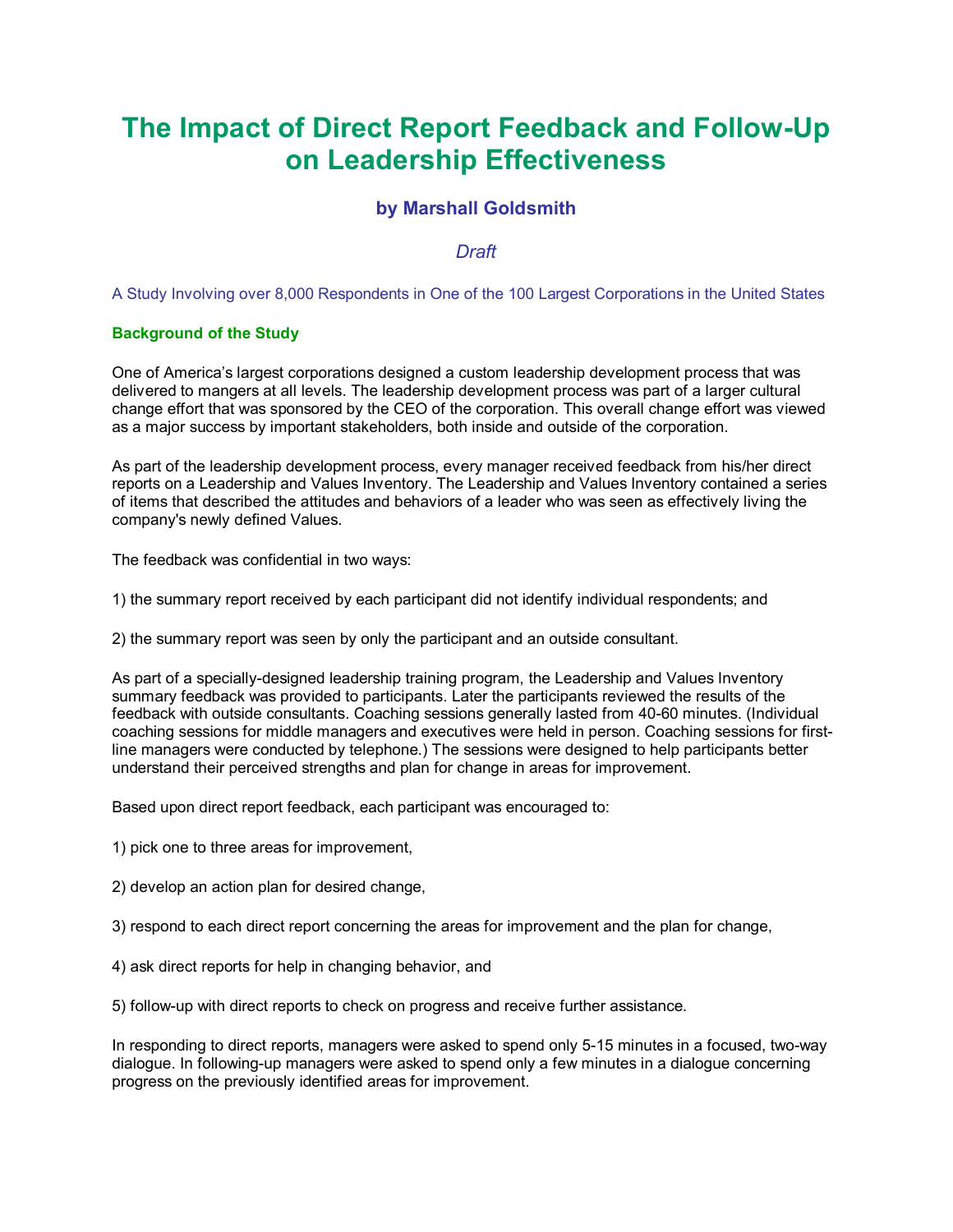# **The Impact of Direct Report Feedback and Follow-Up on Leadership Effectiveness**

# **by Marshall Goldsmith**

# *Draft*

A Study Involving over 8,000 Respondents in One of the 100 Largest Corporations in the United States

## **Background of the Study**

One of America's largest corporations designed a custom leadership development process that was delivered to mangers at all levels. The leadership development process was part of a larger cultural change effort that was sponsored by the CEO of the corporation. This overall change effort was viewed as a major success by important stakeholders, both inside and outside of the corporation.

As part of the leadership development process, every manager received feedback from his/her direct reports on a Leadership and Values Inventory. The Leadership and Values Inventory contained a series of items that described the attitudes and behaviors of a leader who was seen as effectively living the company's newly defined Values.

The feedback was confidential in two ways:

1) the summary report received by each participant did not identify individual respondents; and

2) the summary report was seen by only the participant and an outside consultant.

As part of a specially-designed leadership training program, the Leadership and Values Inventory summary feedback was provided to participants. Later the participants reviewed the results of the feedback with outside consultants. Coaching sessions generally lasted from 40-60 minutes. (Individual coaching sessions for middle managers and executives were held in person. Coaching sessions for firstline managers were conducted by telephone.) The sessions were designed to help participants better understand their perceived strengths and plan for change in areas for improvement.

Based upon direct report feedback, each participant was encouraged to:

1) pick one to three areas for improvement,

2) develop an action plan for desired change,

3) respond to each direct report concerning the areas for improvement and the plan for change,

4) ask direct reports for help in changing behavior, and

5) follow-up with direct reports to check on progress and receive further assistance.

In responding to direct reports, managers were asked to spend only 5-15 minutes in a focused, two-way dialogue. In following-up managers were asked to spend only a few minutes in a dialogue concerning progress on the previously identified areas for improvement.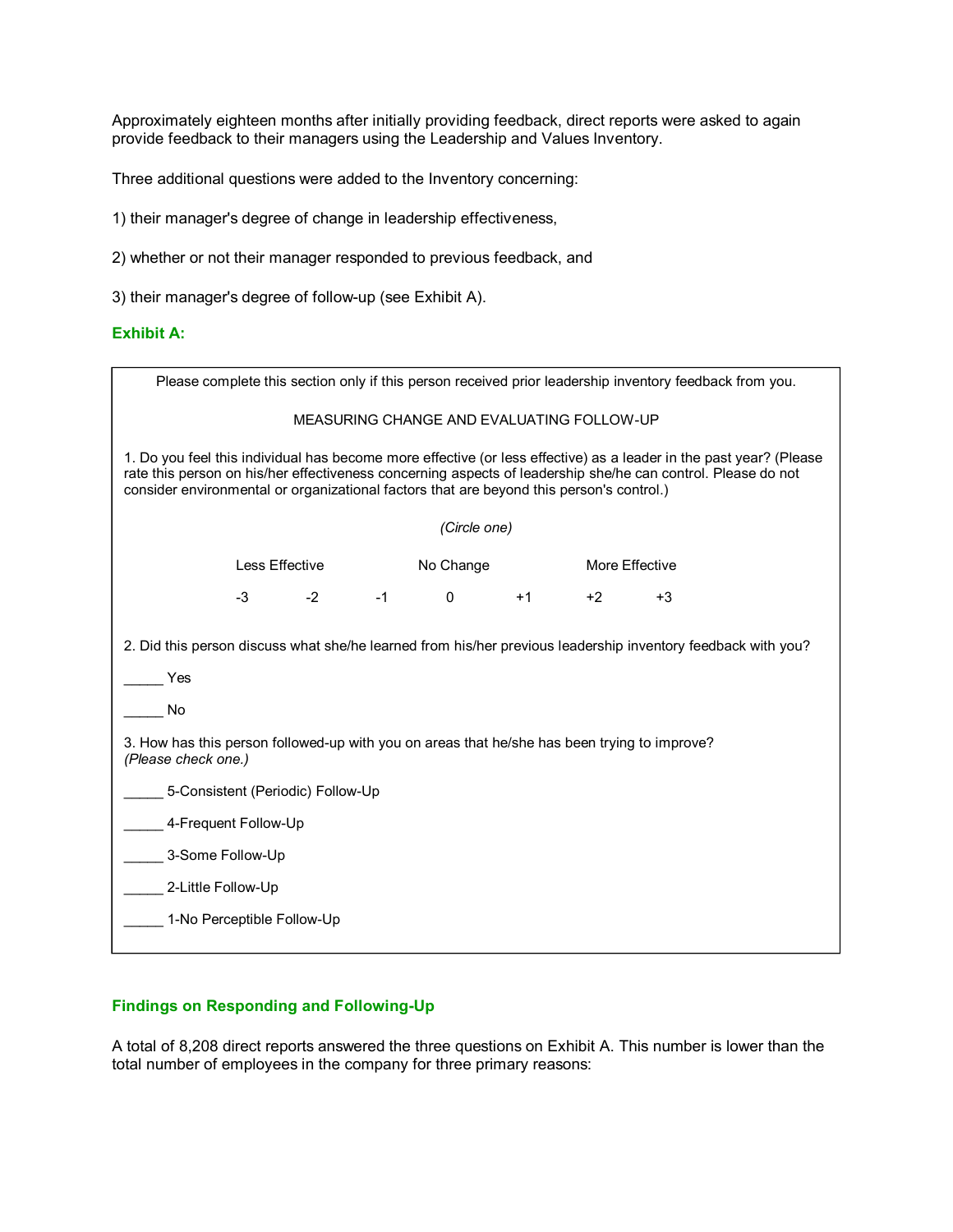Approximately eighteen months after initially providing feedback, direct reports were asked to again provide feedback to their managers using the Leadership and Values Inventory.

Three additional questions were added to the Inventory concerning:

1) their manager's degree of change in leadership effectiveness,

2) whether or not their manager responded to previous feedback, and

3) their manager's degree of follow-up (see Exhibit A).

### **Exhibit A:**

| Please complete this section only if this person received prior leadership inventory feedback from you.                                                                                                                                                                                                                        |                |                 |           |             |                |      |      |
|--------------------------------------------------------------------------------------------------------------------------------------------------------------------------------------------------------------------------------------------------------------------------------------------------------------------------------|----------------|-----------------|-----------|-------------|----------------|------|------|
| MEASURING CHANGE AND EVALUATING FOLLOW-UP                                                                                                                                                                                                                                                                                      |                |                 |           |             |                |      |      |
| 1. Do you feel this individual has become more effective (or less effective) as a leader in the past year? (Please<br>rate this person on his/her effectiveness concerning aspects of leadership she/he can control. Please do not<br>consider environmental or organizational factors that are beyond this person's control.) |                |                 |           |             |                |      |      |
| (Circle one)                                                                                                                                                                                                                                                                                                                   |                |                 |           |             |                |      |      |
|                                                                                                                                                                                                                                                                                                                                | Less Effective |                 | No Change |             | More Effective |      |      |
|                                                                                                                                                                                                                                                                                                                                | $-3$           | $-2$ and $\sim$ | $-1$      | $\mathbf 0$ | $+1$           | $+2$ | $+3$ |
| 2. Did this person discuss what she/he learned from his/her previous leadership inventory feedback with you?                                                                                                                                                                                                                   |                |                 |           |             |                |      |      |
| Yes                                                                                                                                                                                                                                                                                                                            |                |                 |           |             |                |      |      |
| No                                                                                                                                                                                                                                                                                                                             |                |                 |           |             |                |      |      |
| 3. How has this person followed-up with you on areas that he/she has been trying to improve?<br>(Please check one.)                                                                                                                                                                                                            |                |                 |           |             |                |      |      |
| 5-Consistent (Periodic) Follow-Up                                                                                                                                                                                                                                                                                              |                |                 |           |             |                |      |      |
| 4-Frequent Follow-Up                                                                                                                                                                                                                                                                                                           |                |                 |           |             |                |      |      |
| 3-Some Follow-Up                                                                                                                                                                                                                                                                                                               |                |                 |           |             |                |      |      |
| 2-Little Follow-Up                                                                                                                                                                                                                                                                                                             |                |                 |           |             |                |      |      |
| 1-No Perceptible Follow-Up                                                                                                                                                                                                                                                                                                     |                |                 |           |             |                |      |      |

## **Findings on Responding and Following-Up**

A total of 8,208 direct reports answered the three questions on Exhibit A. This number is lower than the total number of employees in the company for three primary reasons: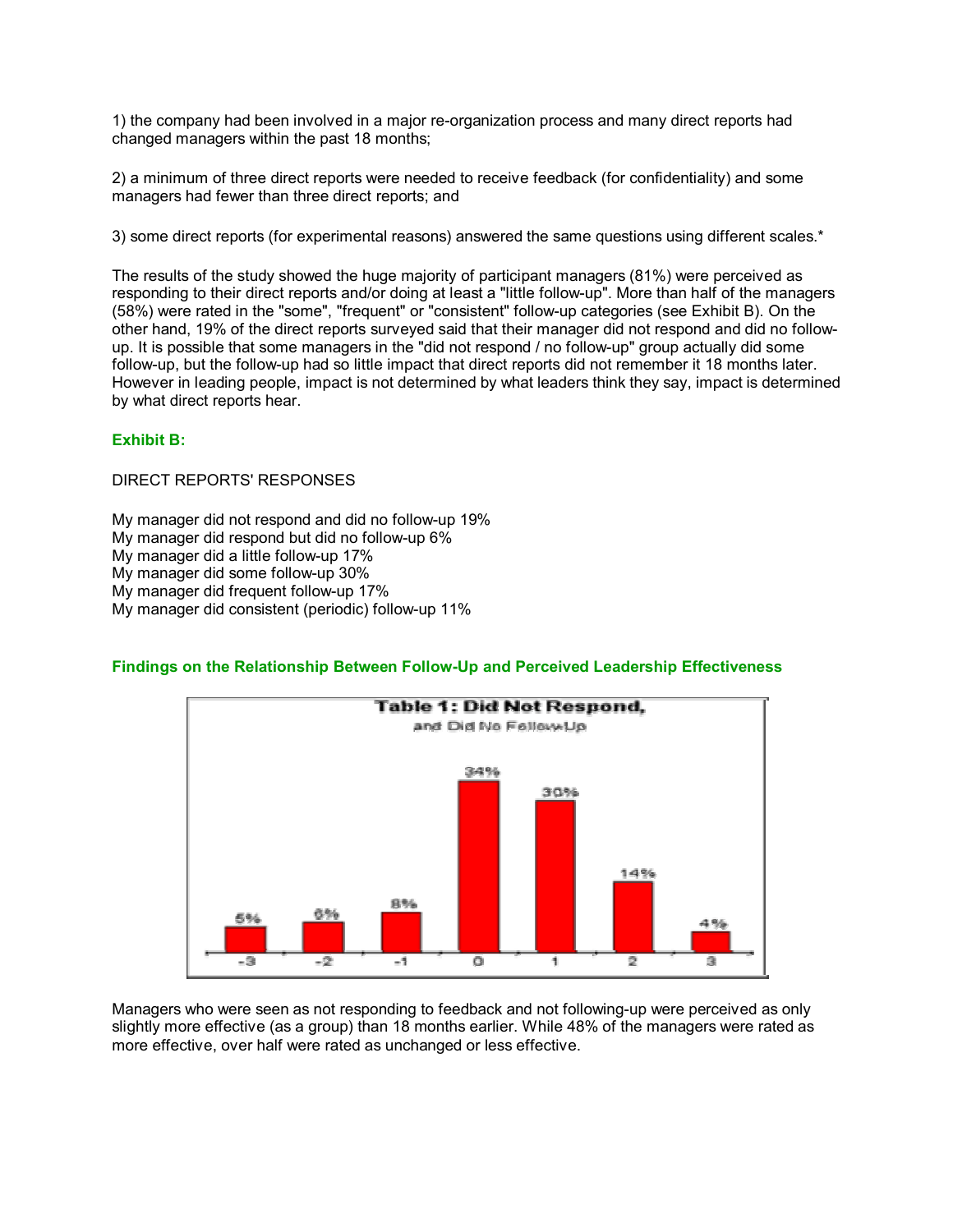1) the company had been involved in a major re-organization process and many direct reports had changed managers within the past 18 months;

2) a minimum of three direct reports were needed to receive feedback (for confidentiality) and some managers had fewer than three direct reports; and

3) some direct reports (for experimental reasons) answered the same questions using different scales.\*

The results of the study showed the huge majority of participant managers (81%) were perceived as responding to their direct reports and/or doing at least a "little follow-up". More than half of the managers (58%) were rated in the "some", "frequent" or "consistent" follow-up categories (see Exhibit B). On the other hand, 19% of the direct reports surveyed said that their manager did not respond and did no followup. It is possible that some managers in the "did not respond / no follow-up" group actually did some follow-up, but the follow-up had so little impact that direct reports did not remember it 18 months later. However in leading people, impact is not determined by what leaders think they say, impact is determined by what direct reports hear.

## **Exhibit B:**

DIRECT REPORTS' RESPONSES

My manager did not respond and did no follow-up 19% My manager did respond but did no follow-up 6% My manager did a little follow-up 17% My manager did some follow-up 30% My manager did frequent follow-up 17% My manager did consistent (periodic) follow-up 11%

### **Findings on the Relationship Between Follow-Up and Perceived Leadership Effectiveness**



Managers who were seen as not responding to feedback and not following-up were perceived as only slightly more effective (as a group) than 18 months earlier. While 48% of the managers were rated as more effective, over half were rated as unchanged or less effective.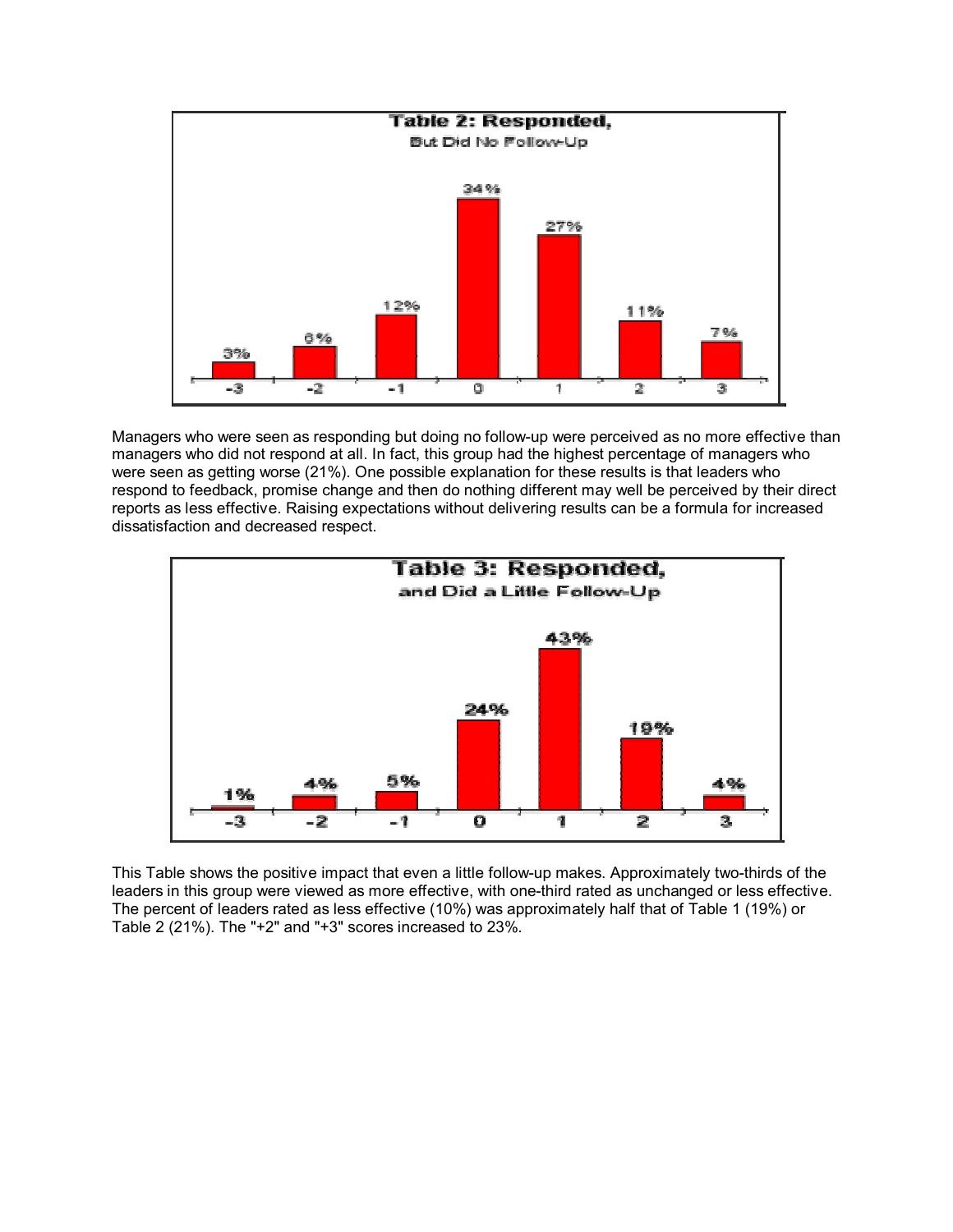

Managers who were seen as responding but doing no follow-up were perceived as no more effective than managers who did not respond at all. In fact, this group had the highest percentage of managers who were seen as getting worse (21%). One possible explanation for these results is that leaders who respond to feedback, promise change and then do nothing different may well be perceived by their direct reports as less effective. Raising expectations without delivering results can be a formula for increased dissatisfaction and decreased respect.



This Table shows the positive impact that even a little follow-up makes. Approximately two-thirds of the leaders in this group were viewed as more effective, with one-third rated as unchanged or less effective. The percent of leaders rated as less effective (10%) was approximately half that of Table 1 (19%) or Table 2 (21%). The "+2" and "+3" scores increased to 23%.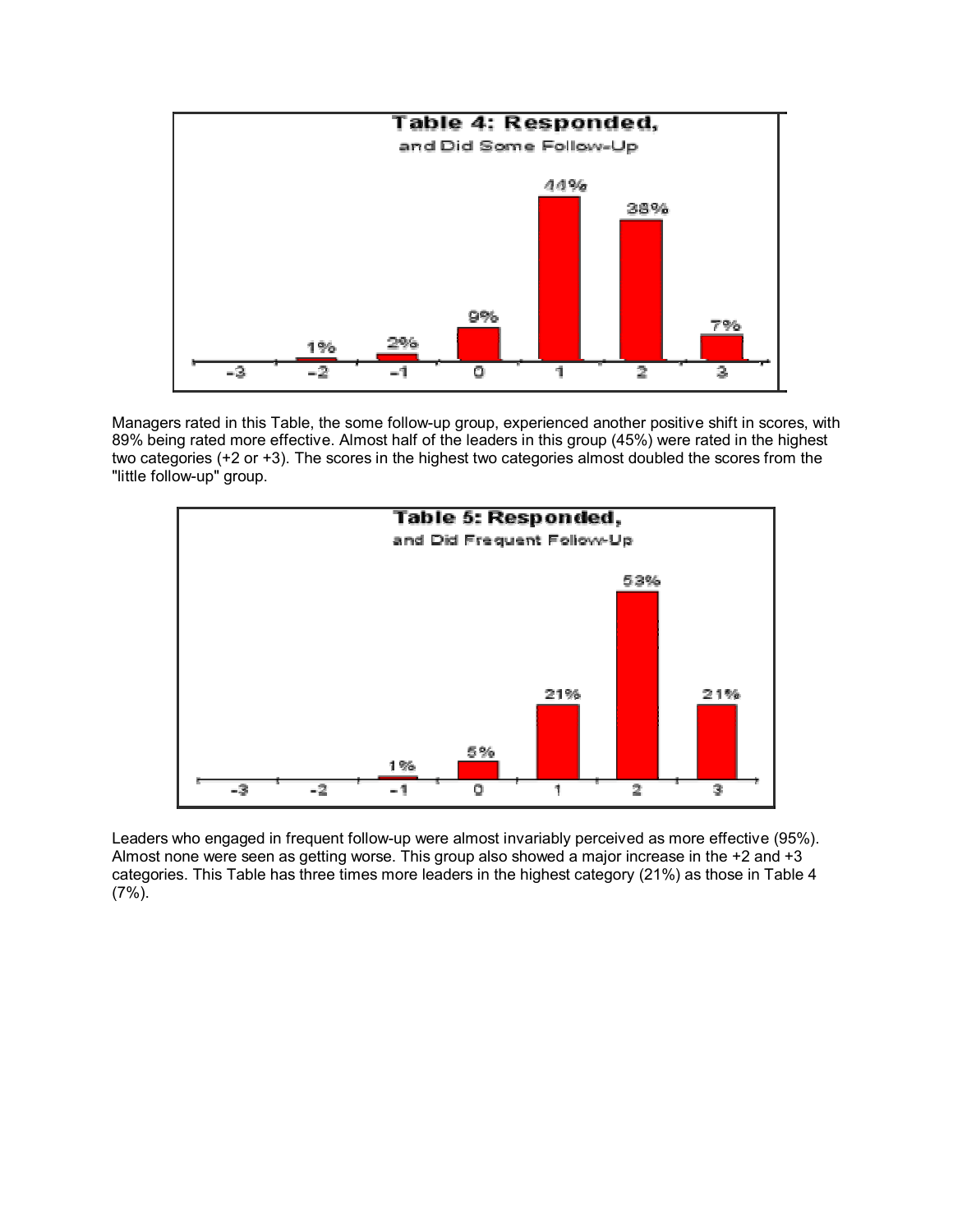

Managers rated in this Table, the some follow-up group, experienced another positive shift in scores, with 89% being rated more effective. Almost half of the leaders in this group (45%) were rated in the highest two categories (+2 or +3). The scores in the highest two categories almost doubled the scores from the "little follow-up" group.



Leaders who engaged in frequent follow-up were almost invariably perceived as more effective (95%). Almost none were seen as getting worse. This group also showed a major increase in the +2 and +3 categories. This Table has three times more leaders in the highest category (21%) as those in Table 4 (7%).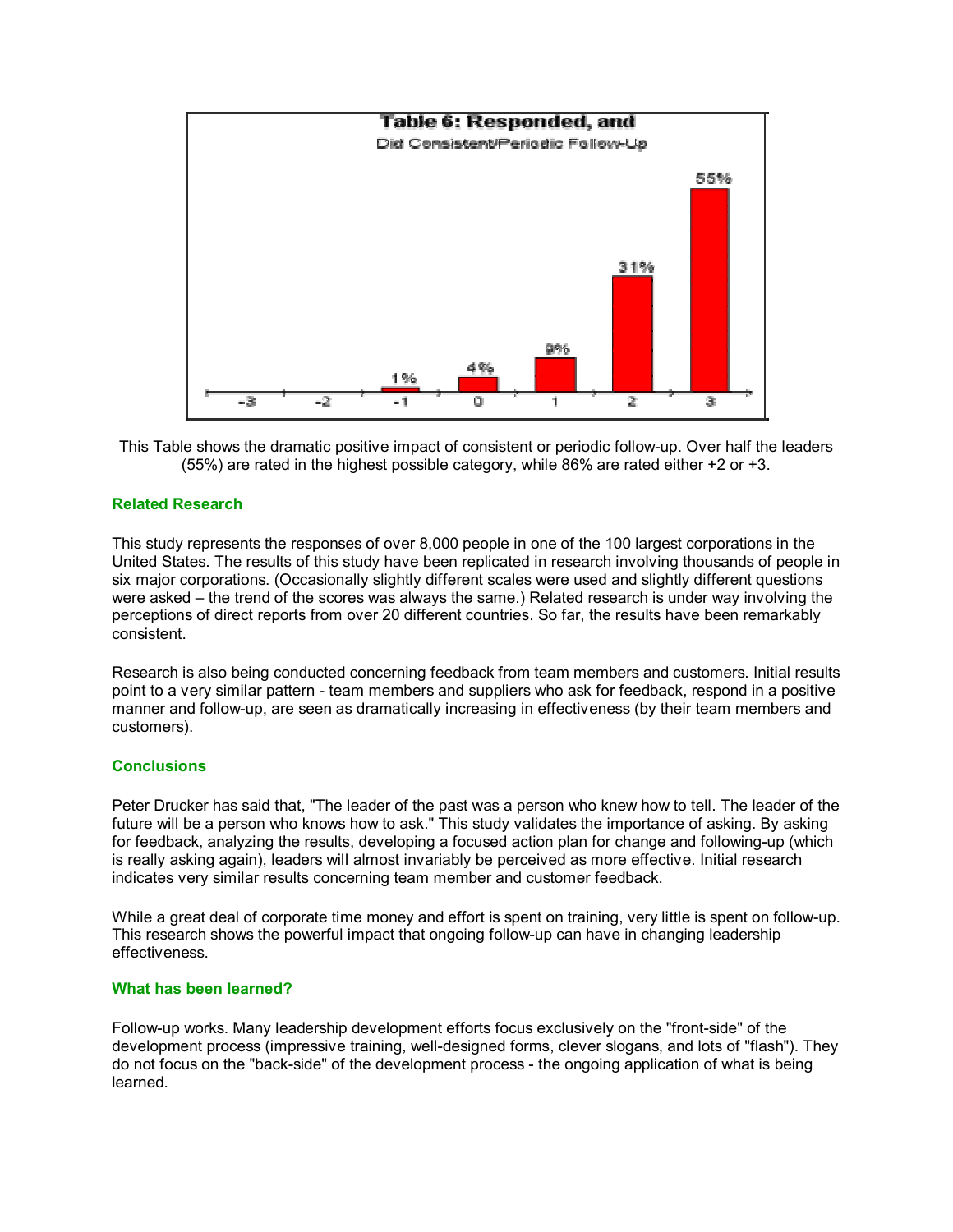

This Table shows the dramatic positive impact of consistent or periodic follow-up. Over half the leaders (55%) are rated in the highest possible category, while 86% are rated either +2 or +3.

#### **Related Research**

This study represents the responses of over 8,000 people in one of the 100 largest corporations in the United States. The results of this study have been replicated in research involving thousands of people in six major corporations. (Occasionally slightly different scales were used and slightly different questions were asked – the trend of the scores was always the same.) Related research is under way involving the perceptions of direct reports from over 20 different countries. So far, the results have been remarkably consistent.

Research is also being conducted concerning feedback from team members and customers. Initial results point to a very similar pattern - team members and suppliers who ask for feedback, respond in a positive manner and follow-up, are seen as dramatically increasing in effectiveness (by their team members and customers).

#### **Conclusions**

Peter Drucker has said that, "The leader of the past was a person who knew how to tell. The leader of the future will be a person who knows how to ask." This study validates the importance of asking. By asking for feedback, analyzing the results, developing a focused action plan for change and following-up (which is really asking again), leaders will almost invariably be perceived as more effective. Initial research indicates very similar results concerning team member and customer feedback.

While a great deal of corporate time money and effort is spent on training, very little is spent on follow-up. This research shows the powerful impact that ongoing follow-up can have in changing leadership effectiveness.

#### **What has been learned?**

Follow-up works. Many leadership development efforts focus exclusively on the "front-side" of the development process (impressive training, well-designed forms, clever slogans, and lots of "flash"). They do not focus on the "back-side" of the development process - the ongoing application of what is being learned.